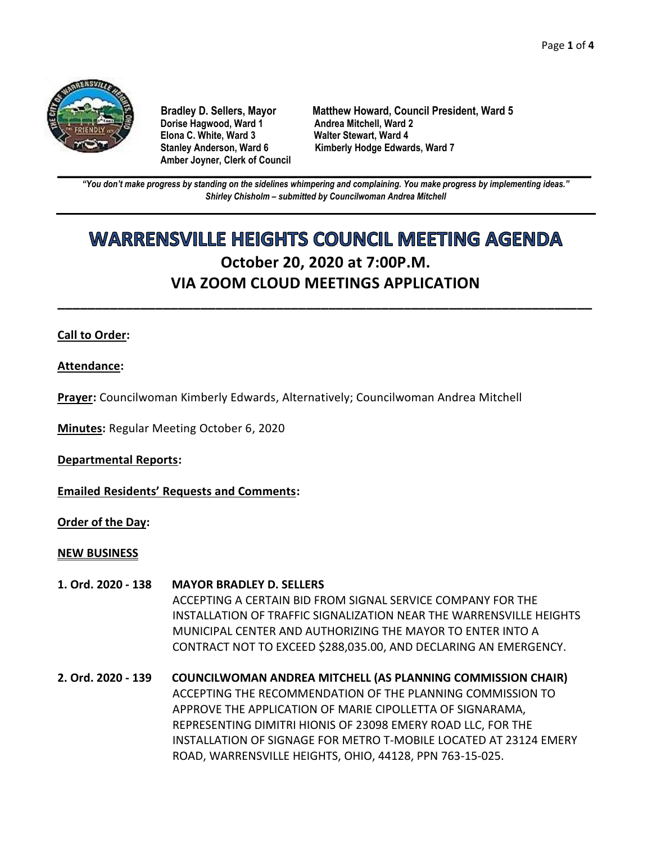

**Dorise Hagwood, Ward 1 Elona C. White, Ward 3 Walter Stewart, Ward 4 Amber Joyner, Clerk of Council**

**Bradley D. Sellers, Mayor Matthew Howard, Council President, Ward 5** Stanley Anderson, Ward 6 Kimberly Hodge Edwards, Ward 7

**\_\_\_\_\_\_\_\_\_\_\_\_\_\_\_\_\_\_\_\_\_\_\_\_\_\_\_\_\_\_\_\_\_\_\_\_\_\_\_\_\_\_\_\_\_\_\_\_\_\_\_\_\_\_\_\_\_\_\_\_\_\_\_\_\_\_\_\_\_\_\_\_\_\_\_\_\_\_\_\_\_\_\_\_\_\_\_\_\_\_\_\_\_\_\_\_\_\_\_\_\_\_\_\_\_\_\_\_\_\_** *"You don't make progress by standing on the sidelines whimpering and complaining. You make progress by implementing ideas." Shirley Chisholm – submitted by Councilwoman Andrea Mitchell*

# **WARRENSVILLE HEIGHTS COUNCIL MEETING AGENDA October 20, 2020 at 7:00P.M. VIA ZOOM CLOUD MEETINGS APPLICATION**

**\_\_\_\_\_\_\_\_\_\_\_\_\_\_\_\_\_\_\_\_\_\_\_\_\_\_\_\_\_\_\_\_\_\_\_\_\_\_\_\_\_\_\_\_\_\_\_\_\_\_\_\_\_\_\_\_\_\_\_\_\_\_\_\_\_\_\_\_\_\_\_**

## **Call to Order:**

**Attendance:**

**Prayer:** Councilwoman Kimberly Edwards, Alternatively; Councilwoman Andrea Mitchell

**Minutes:** Regular Meeting October 6, 2020

**Departmental Reports:**

**Emailed Residents' Requests and Comments:**

**Order of the Day:**

#### **NEW BUSINESS**

- **1. Ord. 2020 - 138 MAYOR BRADLEY D. SELLERS** ACCEPTING A CERTAIN BID FROM SIGNAL SERVICE COMPANY FOR THE INSTALLATION OF TRAFFIC SIGNALIZATION NEAR THE WARRENSVILLE HEIGHTS MUNICIPAL CENTER AND AUTHORIZING THE MAYOR TO ENTER INTO A CONTRACT NOT TO EXCEED \$288,035.00, AND DECLARING AN EMERGENCY.
- **2. Ord. 2020 - 139 COUNCILWOMAN ANDREA MITCHELL (AS PLANNING COMMISSION CHAIR)** ACCEPTING THE RECOMMENDATION OF THE PLANNING COMMISSION TO APPROVE THE APPLICATION OF MARIE CIPOLLETTA OF SIGNARAMA, REPRESENTING DIMITRI HIONIS OF 23098 EMERY ROAD LLC, FOR THE INSTALLATION OF SIGNAGE FOR METRO T-MOBILE LOCATED AT 23124 EMERY ROAD, WARRENSVILLE HEIGHTS, OHIO, 44128, PPN 763-15-025.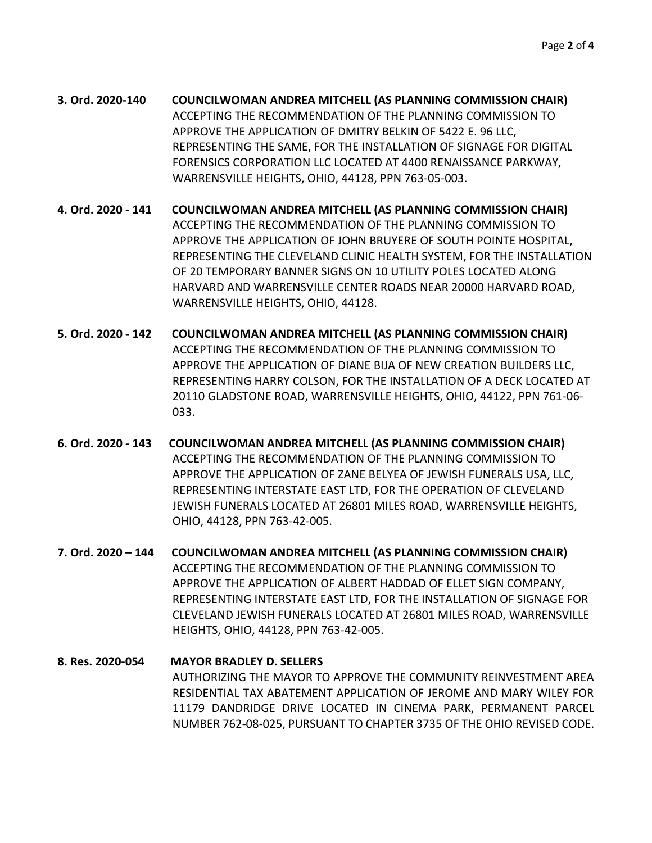- **3. Ord. 2020-140 COUNCILWOMAN ANDREA MITCHELL (AS PLANNING COMMISSION CHAIR)** ACCEPTING THE RECOMMENDATION OF THE PLANNING COMMISSION TO APPROVE THE APPLICATION OF DMITRY BELKIN OF 5422 E. 96 LLC, REPRESENTING THE SAME, FOR THE INSTALLATION OF SIGNAGE FOR DIGITAL FORENSICS CORPORATION LLC LOCATED AT 4400 RENAISSANCE PARKWAY, WARRENSVILLE HEIGHTS, OHIO, 44128, PPN 763-05-003.
- **4. Ord. 2020 - 141 COUNCILWOMAN ANDREA MITCHELL (AS PLANNING COMMISSION CHAIR)** ACCEPTING THE RECOMMENDATION OF THE PLANNING COMMISSION TO APPROVE THE APPLICATION OF JOHN BRUYERE OF SOUTH POINTE HOSPITAL, REPRESENTING THE CLEVELAND CLINIC HEALTH SYSTEM, FOR THE INSTALLATION OF 20 TEMPORARY BANNER SIGNS ON 10 UTILITY POLES LOCATED ALONG HARVARD AND WARRENSVILLE CENTER ROADS NEAR 20000 HARVARD ROAD, WARRENSVILLE HEIGHTS, OHIO, 44128.
- **5. Ord. 2020 - 142 COUNCILWOMAN ANDREA MITCHELL (AS PLANNING COMMISSION CHAIR)** ACCEPTING THE RECOMMENDATION OF THE PLANNING COMMISSION TO APPROVE THE APPLICATION OF DIANE BIJA OF NEW CREATION BUILDERS LLC, REPRESENTING HARRY COLSON, FOR THE INSTALLATION OF A DECK LOCATED AT 20110 GLADSTONE ROAD, WARRENSVILLE HEIGHTS, OHIO, 44122, PPN 761-06- 033.
- **6. Ord. 2020 - 143 COUNCILWOMAN ANDREA MITCHELL (AS PLANNING COMMISSION CHAIR)** ACCEPTING THE RECOMMENDATION OF THE PLANNING COMMISSION TO APPROVE THE APPLICATION OF ZANE BELYEA OF JEWISH FUNERALS USA, LLC, REPRESENTING INTERSTATE EAST LTD, FOR THE OPERATION OF CLEVELAND JEWISH FUNERALS LOCATED AT 26801 MILES ROAD, WARRENSVILLE HEIGHTS, OHIO, 44128, PPN 763-42-005.
- **7. Ord. 2020 – 144 COUNCILWOMAN ANDREA MITCHELL (AS PLANNING COMMISSION CHAIR)** ACCEPTING THE RECOMMENDATION OF THE PLANNING COMMISSION TO APPROVE THE APPLICATION OF ALBERT HADDAD OF ELLET SIGN COMPANY, REPRESENTING INTERSTATE EAST LTD, FOR THE INSTALLATION OF SIGNAGE FOR CLEVELAND JEWISH FUNERALS LOCATED AT 26801 MILES ROAD, WARRENSVILLE HEIGHTS, OHIO, 44128, PPN 763-42-005.
- **8. Res. 2020-054 MAYOR BRADLEY D. SELLERS** AUTHORIZING THE MAYOR TO APPROVE THE COMMUNITY REINVESTMENT AREA RESIDENTIAL TAX ABATEMENT APPLICATION OF JEROME AND MARY WILEY FOR 11179 DANDRIDGE DRIVE LOCATED IN CINEMA PARK, PERMANENT PARCEL NUMBER 762-08-025, PURSUANT TO CHAPTER 3735 OF THE OHIO REVISED CODE.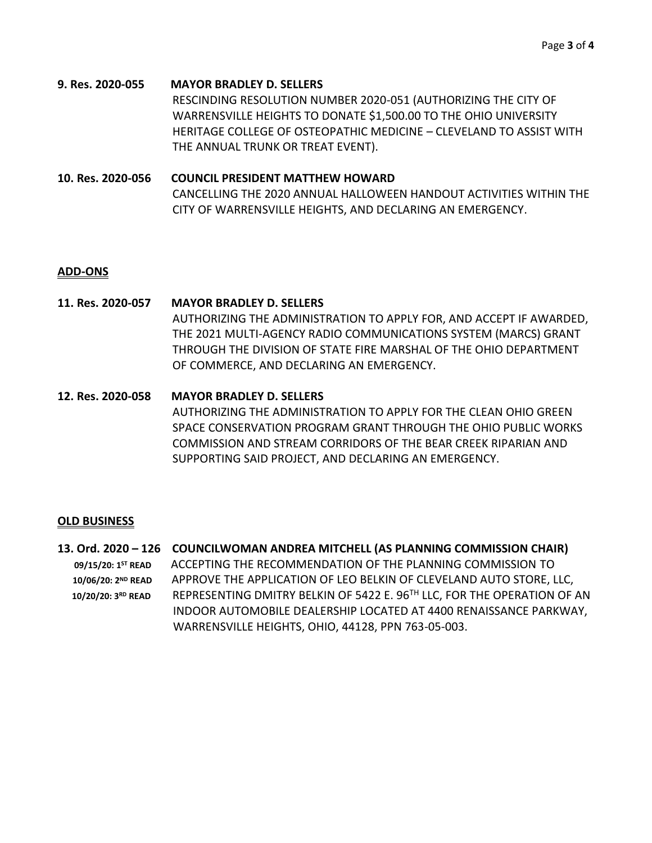- **9. Res. 2020-055 MAYOR BRADLEY D. SELLERS** RESCINDING RESOLUTION NUMBER 2020-051 (AUTHORIZING THE CITY OF WARRENSVILLE HEIGHTS TO DONATE \$1,500.00 TO THE OHIO UNIVERSITY HERITAGE COLLEGE OF OSTEOPATHIC MEDICINE – CLEVELAND TO ASSIST WITH THE ANNUAL TRUNK OR TREAT EVENT).
- **10. Res. 2020-056 COUNCIL PRESIDENT MATTHEW HOWARD** CANCELLING THE 2020 ANNUAL HALLOWEEN HANDOUT ACTIVITIES WITHIN THE CITY OF WARRENSVILLE HEIGHTS, AND DECLARING AN EMERGENCY.

### **ADD-ONS**

- **11. Res. 2020-057 MAYOR BRADLEY D. SELLERS** AUTHORIZING THE ADMINISTRATION TO APPLY FOR, AND ACCEPT IF AWARDED, THE 2021 MULTI-AGENCY RADIO COMMUNICATIONS SYSTEM (MARCS) GRANT THROUGH THE DIVISION OF STATE FIRE MARSHAL OF THE OHIO DEPARTMENT OF COMMERCE, AND DECLARING AN EMERGENCY.
- **12. Res. 2020-058 MAYOR BRADLEY D. SELLERS** AUTHORIZING THE ADMINISTRATION TO APPLY FOR THE CLEAN OHIO GREEN SPACE CONSERVATION PROGRAM GRANT THROUGH THE OHIO PUBLIC WORKS COMMISSION AND STREAM CORRIDORS OF THE BEAR CREEK RIPARIAN AND SUPPORTING SAID PROJECT, AND DECLARING AN EMERGENCY.

### **OLD BUSINESS**

**13. Ord. 2020 – 126 COUNCILWOMAN ANDREA MITCHELL (AS PLANNING COMMISSION CHAIR) 09/15/20: 1ST READ** ACCEPTING THE RECOMMENDATION OF THE PLANNING COMMISSION TO 10/06/20: 2<sup>ND</sup> READ APPROVE THE APPLICATION OF LEO BELKIN OF CLEVELAND AUTO STORE, LLC,  **10/20/20: 3RD READ** REPRESENTING DMITRY BELKIN OF 5422 E. 96TH LLC, FOR THE OPERATION OF AN INDOOR AUTOMOBILE DEALERSHIP LOCATED AT 4400 RENAISSANCE PARKWAY, WARRENSVILLE HEIGHTS, OHIO, 44128, PPN 763-05-003.